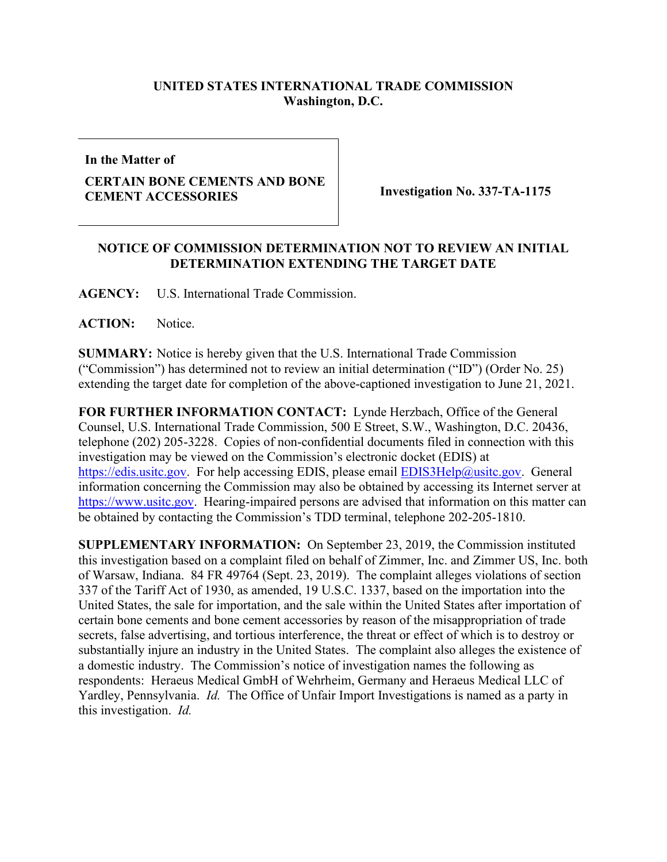## **UNITED STATES INTERNATIONAL TRADE COMMISSION Washington, D.C.**

**In the Matter of**

## **CERTAIN BONE CEMENTS AND BONE CEMENT ACCESSORIES Investigation No. 337-TA-1175**

## **NOTICE OF COMMISSION DETERMINATION NOT TO REVIEW AN INITIAL DETERMINATION EXTENDING THE TARGET DATE**

**AGENCY:** U.S. International Trade Commission.

**ACTION:** Notice.

**SUMMARY:** Notice is hereby given that the U.S. International Trade Commission ("Commission") has determined not to review an initial determination ("ID") (Order No. 25) extending the target date for completion of the above-captioned investigation to June 21, 2021.

**FOR FURTHER INFORMATION CONTACT:** Lynde Herzbach, Office of the General Counsel, U.S. International Trade Commission, 500 E Street, S.W., Washington, D.C. 20436, telephone (202) 205-3228. Copies of non-confidential documents filed in connection with this investigation may be viewed on the Commission's electronic docket (EDIS) at [https://edis.usitc.gov.](https://edis.usitc.gov/) For help accessing EDIS, please email [EDIS3Help@usitc.gov.](mailto:EDIS3Help@usitc.gov) General information concerning the Commission may also be obtained by accessing its Internet server at [https://www.usitc.gov.](https://www.usitc.gov/) Hearing-impaired persons are advised that information on this matter can be obtained by contacting the Commission's TDD terminal, telephone 202-205-1810.

**SUPPLEMENTARY INFORMATION:** On September 23, 2019, the Commission instituted this investigation based on a complaint filed on behalf of Zimmer, Inc. and Zimmer US, Inc. both of Warsaw, Indiana. 84 FR 49764 (Sept. 23, 2019). The complaint alleges violations of section 337 of the Tariff Act of 1930, as amended, 19 U.S.C. 1337, based on the importation into the United States, the sale for importation, and the sale within the United States after importation of certain bone cements and bone cement accessories by reason of the misappropriation of trade secrets, false advertising, and tortious interference, the threat or effect of which is to destroy or substantially injure an industry in the United States. The complaint also alleges the existence of a domestic industry. The Commission's notice of investigation names the following as respondents: Heraeus Medical GmbH of Wehrheim, Germany and Heraeus Medical LLC of Yardley, Pennsylvania. *Id.* The Office of Unfair Import Investigations is named as a party in this investigation. *Id.*